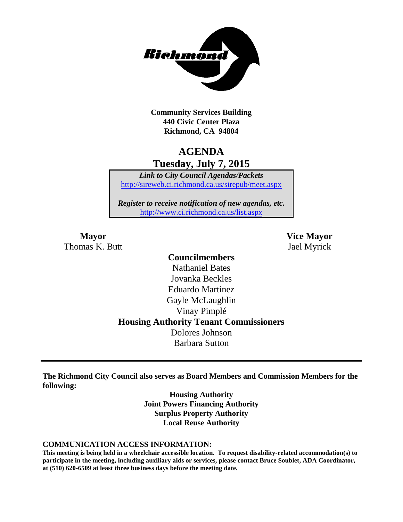

**Community Services Building 440 Civic Center Plaza Richmond, CA 94804**

# **AGENDA Tuesday, July 7, 2015**

*Link to City Council Agendas/Packets* <http://sireweb.ci.richmond.ca.us/sirepub/meet.aspx>

*Register to receive notification of new agendas, etc.* <http://www.ci.richmond.ca.us/list.aspx>

Thomas K. Butt Jael Myrick

**Mayor Vice Mayor**

# **Councilmembers** Nathaniel Bates Jovanka Beckles Eduardo Martinez Gayle McLaughlin Vinay Pimplé **Housing Authority Tenant Commissioners** Dolores Johnson Barbara Sutton

**The Richmond City Council also serves as Board Members and Commission Members for the following:**

> **Housing Authority Joint Powers Financing Authority Surplus Property Authority Local Reuse Authority**

#### **COMMUNICATION ACCESS INFORMATION:**

**This meeting is being held in a wheelchair accessible location. To request disability-related accommodation(s) to participate in the meeting, including auxiliary aids or services, please contact Bruce Soublet, ADA Coordinator, at (510) 620-6509 at least three business days before the meeting date.**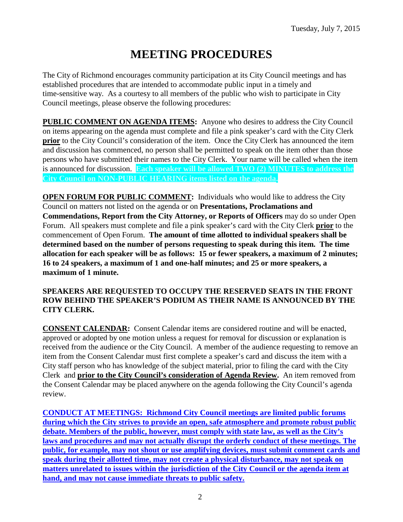# **MEETING PROCEDURES**

The City of Richmond encourages community participation at its City Council meetings and has established procedures that are intended to accommodate public input in a timely and time-sensitive way. As a courtesy to all members of the public who wish to participate in City Council meetings, please observe the following procedures:

**PUBLIC COMMENT ON AGENDA ITEMS:** Anyone who desires to address the City Council on items appearing on the agenda must complete and file a pink speaker's card with the City Clerk **prior** to the City Council's consideration of the item. Once the City Clerk has announced the item and discussion has commenced, no person shall be permitted to speak on the item other than those persons who have submitted their names to the City Clerk. Your name will be called when the item is announced for discussion. **Each speaker will be allowed TWO (2) MINUTES to address the City Council on NON-PUBLIC HEARING items listed on the agenda.**

**OPEN FORUM FOR PUBLIC COMMENT:** Individuals who would like to address the City Council on matters not listed on the agenda or on **Presentations, Proclamations and Commendations, Report from the City Attorney, or Reports of Officers** may do so under Open Forum. All speakers must complete and file a pink speaker's card with the City Clerk **prior** to the commencement of Open Forum. **The amount of time allotted to individual speakers shall be determined based on the number of persons requesting to speak during this item. The time allocation for each speaker will be as follows: 15 or fewer speakers, a maximum of 2 minutes; 16 to 24 speakers, a maximum of 1 and one-half minutes; and 25 or more speakers, a maximum of 1 minute.**

### **SPEAKERS ARE REQUESTED TO OCCUPY THE RESERVED SEATS IN THE FRONT ROW BEHIND THE SPEAKER'S PODIUM AS THEIR NAME IS ANNOUNCED BY THE CITY CLERK.**

**CONSENT CALENDAR:** Consent Calendar items are considered routine and will be enacted, approved or adopted by one motion unless a request for removal for discussion or explanation is received from the audience or the City Council. A member of the audience requesting to remove an item from the Consent Calendar must first complete a speaker's card and discuss the item with a City staff person who has knowledge of the subject material, prior to filing the card with the City Clerk and **prior to the City Council's consideration of Agenda Review.** An item removed from the Consent Calendar may be placed anywhere on the agenda following the City Council's agenda review.

**CONDUCT AT MEETINGS: Richmond City Council meetings are limited public forums during which the City strives to provide an open, safe atmosphere and promote robust public debate. Members of the public, however, must comply with state law, as well as the City's laws and procedures and may not actually disrupt the orderly conduct of these meetings. The public, for example, may not shout or use amplifying devices, must submit comment cards and speak during their allotted time, may not create a physical disturbance, may not speak on matters unrelated to issues within the jurisdiction of the City Council or the agenda item at hand, and may not cause immediate threats to public safety.**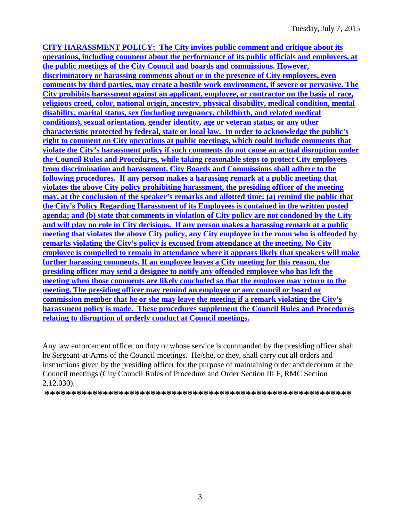**CITY HARASSMENT POLICY: The City invites public comment and critique about its operations, including comment about the performance of its public officials and employees, at the public meetings of the City Council and boards and commissions. However, discriminatory or harassing comments about or in the presence of City employees, even comments by third parties, may create a hostile work environment, if severe or pervasive. The City prohibits harassment against an applicant, employee, or contractor on the basis of race, religious creed, color, national origin, ancestry, physical disability, medical condition, mental disability, marital status, sex (including pregnancy, childbirth, and related medical conditions), sexual orientation, gender identity, age or veteran status, or any other characteristic protected by federal, state or local law. In order to acknowledge the public's right to comment on City operations at public meetings, which could include comments that violate the City's harassment policy if such comments do not cause an actual disruption under the Council Rules and Procedures, while taking reasonable steps to protect City employees from discrimination and harassment, City Boards and Commissions shall adhere to the following procedures. If any person makes a harassing remark at a public meeting that violates the above City policy prohibiting harassment, the presiding officer of the meeting may, at the conclusion of the speaker's remarks and allotted time: (a) remind the public that the City's Policy Regarding Harassment of its Employees is contained in the written posted agenda; and (b) state that comments in violation of City policy are not condoned by the City and will play no role in City decisions. If any person makes a harassing remark at a public meeting that violates the above City policy, any City employee in the room who is offended by remarks violating the City's policy is excused from attendance at the meeting. No City employee is compelled to remain in attendance where it appears likely that speakers will make further harassing comments. If an employee leaves a City meeting for this reason, the presiding officer may send a designee to notify any offended employee who has left the meeting when those comments are likely concluded so that the employee may return to the meeting. The presiding officer may remind an employee or any council or board or commission member that he or she may leave the meeting if a remark violating the City's harassment policy is made. These procedures supplement the Council Rules and Procedures relating to disruption of orderly conduct at Council meetings.**

Any law enforcement officer on duty or whose service is commanded by the presiding officer shall be Sergeant-at-Arms of the Council meetings. He/she, or they, shall carry out all orders and instructions given by the presiding officer for the purpose of maintaining order and decorum at the Council meetings (City Council Rules of Procedure and Order Section III F, RMC Section 2.12.030).

**\*\*\*\*\*\*\*\*\*\*\*\*\*\*\*\*\*\*\*\*\*\*\*\*\*\*\*\*\*\*\*\*\*\*\*\*\*\*\*\*\*\*\*\*\*\*\*\*\*\*\*\*\*\*\*\*\*\***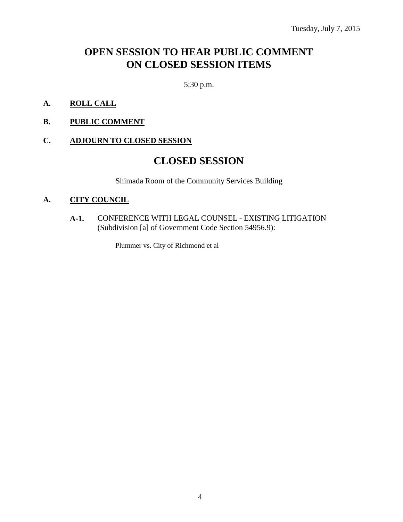# **OPEN SESSION TO HEAR PUBLIC COMMENT ON CLOSED SESSION ITEMS**

5:30 p.m.

- **A. ROLL CALL**
- **B. PUBLIC COMMENT**

### **C. ADJOURN TO CLOSED SESSION**

# **CLOSED SESSION**

Shimada Room of the Community Services Building

### **A. CITY COUNCIL**

**A-1.** CONFERENCE WITH LEGAL COUNSEL - EXISTING LITIGATION (Subdivision [a] of Government Code Section 54956.9):

Plummer vs. City of Richmond et al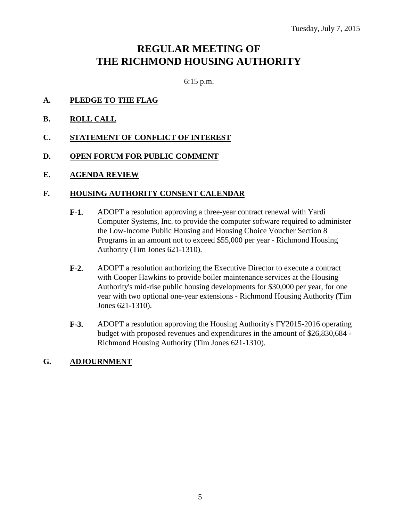# **REGULAR MEETING OF THE RICHMOND HOUSING AUTHORITY**

6:15 p.m.

- **A. PLEDGE TO THE FLAG**
- **B. ROLL CALL**
- **C. STATEMENT OF CONFLICT OF INTEREST**
- **D. OPEN FORUM FOR PUBLIC COMMENT**
- **E. AGENDA REVIEW**

#### **F. HOUSING AUTHORITY CONSENT CALENDAR**

- **F-1.** ADOPT a resolution approving a three-year contract renewal with Yardi Computer Systems, Inc. to provide the computer software required to administer the Low-Income Public Housing and Housing Choice Voucher Section 8 Programs in an amount not to exceed \$55,000 per year - Richmond Housing Authority (Tim Jones 621-1310).
- **F-2.** ADOPT a resolution authorizing the Executive Director to execute a contract with Cooper Hawkins to provide boiler maintenance services at the Housing Authority's mid-rise public housing developments for \$30,000 per year, for one year with two optional one-year extensions - Richmond Housing Authority (Tim Jones 621-1310).
- **F-3.** ADOPT a resolution approving the Housing Authority's FY2015-2016 operating budget with proposed revenues and expenditures in the amount of \$26,830,684 - Richmond Housing Authority (Tim Jones 621-1310).

### **G. ADJOURNMENT**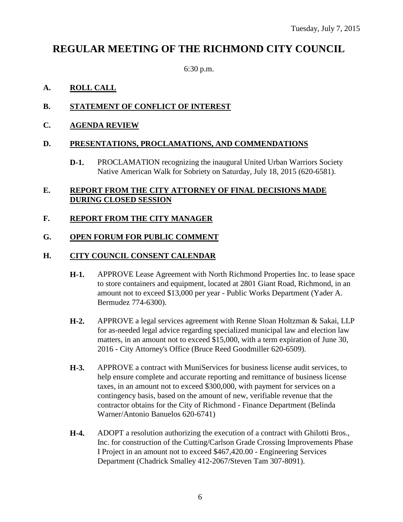# **REGULAR MEETING OF THE RICHMOND CITY COUNCIL**

6:30 p.m.

# **A. ROLL CALL**

# **B. STATEMENT OF CONFLICT OF INTEREST**

**C. AGENDA REVIEW**

### **D. PRESENTATIONS, PROCLAMATIONS, AND COMMENDATIONS**

**D-1.** PROCLAMATION recognizing the inaugural United Urban Warriors Society Native American Walk for Sobriety on Saturday, July 18, 2015 (620-6581).

### **E. REPORT FROM THE CITY ATTORNEY OF FINAL DECISIONS MADE DURING CLOSED SESSION**

## **F. REPORT FROM THE CITY MANAGER**

### **G. OPEN FORUM FOR PUBLIC COMMENT**

### **H. CITY COUNCIL CONSENT CALENDAR**

- **H-1.** APPROVE Lease Agreement with North Richmond Properties Inc. to lease space to store containers and equipment, located at 2801 Giant Road, Richmond, in an amount not to exceed \$13,000 per year - Public Works Department (Yader A. Bermudez 774-6300).
- **H-2.** APPROVE a legal services agreement with Renne Sloan Holtzman & Sakai, LLP for as-needed legal advice regarding specialized municipal law and election law matters, in an amount not to exceed \$15,000, with a term expiration of June 30, 2016 - City Attorney's Office (Bruce Reed Goodmiller 620-6509).
- **H-3.** APPROVE a contract with MuniServices for business license audit services, to help ensure complete and accurate reporting and remittance of business license taxes, in an amount not to exceed \$300,000, with payment for services on a contingency basis, based on the amount of new, verifiable revenue that the contractor obtains for the City of Richmond - Finance Department (Belinda Warner/Antonio Banuelos 620-6741)
- **H-4.** ADOPT a resolution authorizing the execution of a contract with Ghilotti Bros., Inc. for construction of the Cutting/Carlson Grade Crossing Improvements Phase I Project in an amount not to exceed \$467,420.00 - Engineering Services Department (Chadrick Smalley 412-2067/Steven Tam 307-8091).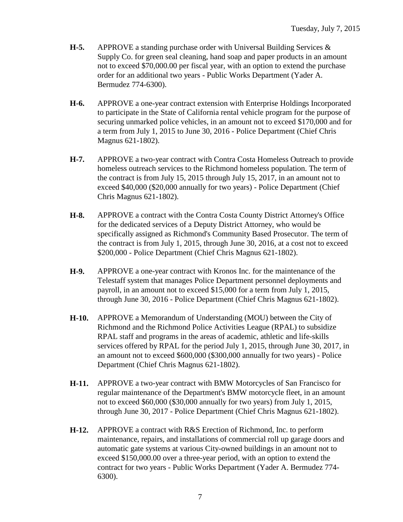- **H-5.** APPROVE a standing purchase order with Universal Building Services & Supply Co. for green seal cleaning, hand soap and paper products in an amount not to exceed \$70,000.00 per fiscal year, with an option to extend the purchase order for an additional two years - Public Works Department (Yader A. Bermudez 774-6300).
- **H-6.** APPROVE a one-year contract extension with Enterprise Holdings Incorporated to participate in the State of California rental vehicle program for the purpose of securing unmarked police vehicles, in an amount not to exceed \$170,000 and for a term from July 1, 2015 to June 30, 2016 - Police Department (Chief Chris Magnus 621-1802).
- **H-7.** APPROVE a two-year contract with Contra Costa Homeless Outreach to provide homeless outreach services to the Richmond homeless population. The term of the contract is from July 15, 2015 through July 15, 2017, in an amount not to exceed \$40,000 (\$20,000 annually for two years) - Police Department (Chief Chris Magnus 621-1802).
- **H-8.** APPROVE a contract with the Contra Costa County District Attorney's Office for the dedicated services of a Deputy District Attorney, who would be specifically assigned as Richmond's Community Based Prosecutor. The term of the contract is from July 1, 2015, through June 30, 2016, at a cost not to exceed \$200,000 - Police Department (Chief Chris Magnus 621-1802).
- **H-9.** APPROVE a one-year contract with Kronos Inc. for the maintenance of the Telestaff system that manages Police Department personnel deployments and payroll, in an amount not to exceed \$15,000 for a term from July 1, 2015, through June 30, 2016 - Police Department (Chief Chris Magnus 621-1802).
- **H-10.** APPROVE a Memorandum of Understanding (MOU) between the City of Richmond and the Richmond Police Activities League (RPAL) to subsidize RPAL staff and programs in the areas of academic, athletic and life-skills services offered by RPAL for the period July 1, 2015, through June 30, 2017, in an amount not to exceed \$600,000 (\$300,000 annually for two years) - Police Department (Chief Chris Magnus 621-1802).
- **H-11.** APPROVE a two-year contract with BMW Motorcycles of San Francisco for regular maintenance of the Department's BMW motorcycle fleet, in an amount not to exceed \$60,000 (\$30,000 annually for two years) from July 1, 2015, through June 30, 2017 - Police Department (Chief Chris Magnus 621-1802).
- **H-12.** APPROVE a contract with R&S Erection of Richmond, Inc. to perform maintenance, repairs, and installations of commercial roll up garage doors and automatic gate systems at various City-owned buildings in an amount not to exceed \$150,000.00 over a three-year period, with an option to extend the contract for two years - Public Works Department (Yader A. Bermudez 774- 6300).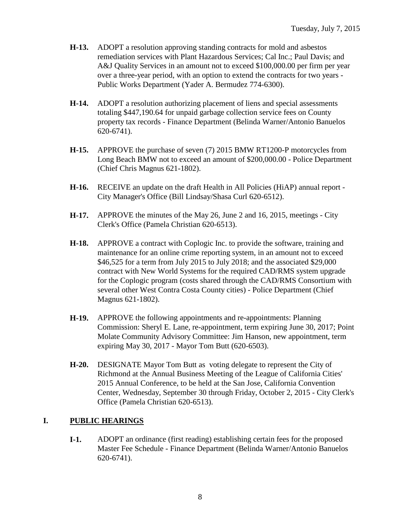- **H-13.** ADOPT a resolution approving standing contracts for mold and asbestos remediation services with Plant Hazardous Services; Cal Inc.; Paul Davis; and A&J Quality Services in an amount not to exceed \$100,000.00 per firm per year over a three-year period, with an option to extend the contracts for two years - Public Works Department (Yader A. Bermudez 774-6300).
- **H-14.** ADOPT a resolution authorizing placement of liens and special assessments totaling \$447,190.64 for unpaid garbage collection service fees on County property tax records - Finance Department (Belinda Warner/Antonio Banuelos 620-6741).
- **H-15.** APPROVE the purchase of seven (7) 2015 BMW RT1200-P motorcycles from Long Beach BMW not to exceed an amount of \$200,000.00 - Police Department (Chief Chris Magnus 621-1802).
- **H-16.** RECEIVE an update on the draft Health in All Policies (HiAP) annual report City Manager's Office (Bill Lindsay/Shasa Curl 620-6512).
- **H-17.** APPROVE the minutes of the May 26, June 2 and 16, 2015, meetings City Clerk's Office (Pamela Christian 620-6513).
- **H-18.** APPROVE a contract with Coplogic Inc. to provide the software, training and maintenance for an online crime reporting system, in an amount not to exceed \$46,525 for a term from July 2015 to July 2018; and the associated \$29,000 contract with New World Systems for the required CAD/RMS system upgrade for the Coplogic program (costs shared through the CAD/RMS Consortium with several other West Contra Costa County cities) - Police Department (Chief Magnus 621-1802).
- **H-19.** APPROVE the following appointments and re-appointments: Planning Commission: Sheryl E. Lane, re-appointment, term expiring June 30, 2017; Point Molate Community Advisory Committee: Jim Hanson, new appointment, term expiring May 30, 2017 - Mayor Tom Butt (620-6503).
- **H-20.** DESIGNATE Mayor Tom Butt as voting delegate to represent the City of Richmond at the Annual Business Meeting of the League of California Cities' 2015 Annual Conference, to be held at the San Jose, California Convention Center, Wednesday, September 30 through Friday, October 2, 2015 - City Clerk's Office (Pamela Christian 620-6513).

# **I. PUBLIC HEARINGS**

**I-1.** ADOPT an ordinance (first reading) establishing certain fees for the proposed Master Fee Schedule - Finance Department (Belinda Warner/Antonio Banuelos 620-6741).